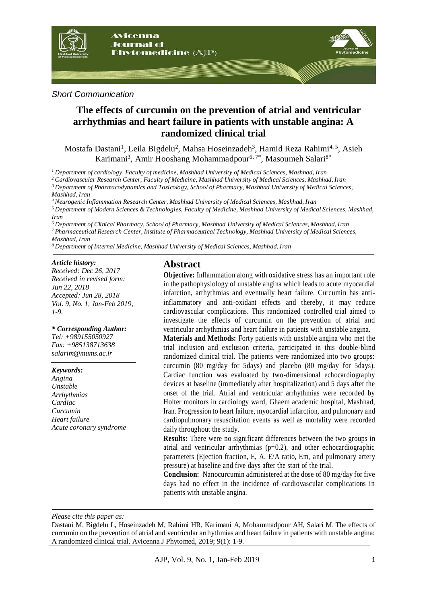

### *Short Communication*

# **The effects of curcumin on the prevention of atrial and ventricular arrhythmias and heart failure in patients with unstable angina: A randomized clinical trial**

Mostafa Dastani<sup>1</sup>, Leila Bigdelu<sup>2</sup>, Mahsa Hoseinzadeh<sup>3</sup>, Hamid Reza Rahimi<sup>4, 5</sup>, Asieh Karimani<sup>3</sup>, Amir Hooshang Mohammadpour<sup>6, 7\*</sup>, Masoumeh Salari<sup>8\*</sup>

*<sup>1</sup>Department of cardiology, Faculty of medicine, Mashhad University of Medical Sciences, Mashhad, Iran*

*<sup>2</sup> Cardiovascular Research Center, Faculty of Medicine, Mashhad University of Medical Sciences, Mashhad, Iran*

*<sup>3</sup> Department of Pharmacodynamics and Toxicology, School of Pharmacy, Mashhad University of Medical Sciences, Mashhad, Iran*

*<sup>4</sup> Neurogenic Inflammation Research Center, Mashhad University of Medical Sciences, Mashhad, Iran*

*<sup>5</sup>Department of Modern Sciences & Technologies, Faculty of Medicine, Mashhad University of Medical Sciences, Mashhad, Iran*

*<sup>6</sup>Department of Clinical Pharmacy, School of Pharmacy, Mashhad University of Medical Sciences, Mashhad, Iran <sup>7</sup>Pharmaceutical Research Center, Institute of Pharmaceutical Technology, Mashhad University of Medical Sciences, Mashhad, Iran*

*<sup>8</sup>Department of Internal Medicine, Mashhad University of Medical Sciences, Mashhad, Iran*

#### *Article history:*

*Received: Dec 26, 2017 Received in revised form: Jun 22, 2018 Accepted: Jun 28, 2018 Vol. 9, No. 1, Jan-Feb 2019, 1-9.*

#### *\* Corresponding Author:*

*Tel: +989155050927 Fax: +985138713638 salarim@mums.ac.ir* 

#### *Keywords:*

*Angina Unstable Arrhythmias Cardiac Curcumin Heart failure Acute coronary syndrome*

## **Abstract**

**Objective:** Inflammation along with oxidative stress has an important role in the pathophysiology of unstable angina which leads to acute myocardial infarction, arrhythmias and eventually heart failure. Curcumin has antiinflammatory and anti-oxidant effects and thereby, it may reduce cardiovascular complications. This randomized controlled trial aimed to investigate the effects of curcumin on the prevention of atrial and ventricular arrhythmias and heart failure in patients with unstable angina.

**Materials and Methods:** Forty patients with unstable angina who met the trial inclusion and exclusion criteria, participated in this double-blind randomized clinical trial. The patients were randomized into two groups: curcumin (80 mg/day for 5days) and placebo (80 mg/day for 5days). Cardiac function was evaluated by two-dimensional echocardiography devices at baseline (immediately after hospitalization) and 5 days after the onset of the trial. Atrial and ventricular arrhythmias were recorded by Holter monitors in cardiology ward, Ghaem academic hospital, Mashhad, Iran. Progression to heart failure, myocardial infarction, and pulmonary and cardiopulmonary resuscitation events as well as mortality were recorded daily throughout the study.

**Results:** There were no significant differences between the two groups in atrial and ventricular arrhythmias  $(p=0.2)$ , and other echocardiographic parameters (Ejection fraction, E, A, E/A ratio, Em, and pulmonary artery pressure) at baseline and five days after the start of the trial.

**Conclusion:** Nanocurcumin administered at the dose of 80 mg/day for five days had no effect in the incidence of cardiovascular complications in patients with unstable angina.

*Please cite this paper as:* 

Dastani M, Bigdelu L, Hoseinzadeh M, Rahimi HR, Karimani A, Mohammadpour AH, Salari M. The effects of curcumin on the prevention of atrial and ventricular arrhythmias and heart failure in patients with unstable angina: A randomized clinical trial. Avicenna J Phytomed, 2019; 9(1): 1-9.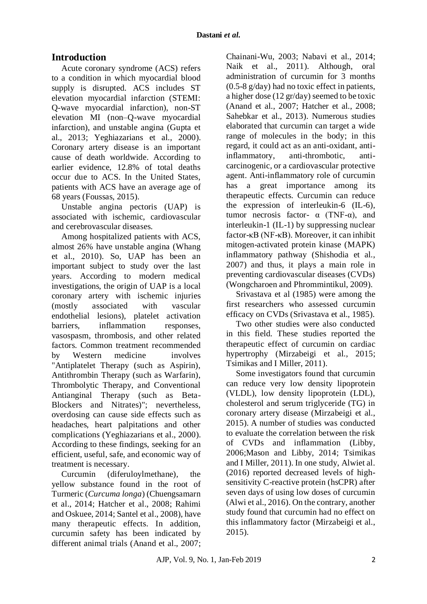# **Introduction**

Acute coronary syndrome (ACS) refers to a condition in which myocardial blood supply is disrupted. ACS includes ST elevation myocardial infarction (STEMI: Q-wave myocardial infarction), non-ST elevation MI (non–Q-wave myocardial infarction), and unstable angina [\(Gupta et](#page-7-0)  [al., 2013;](#page-7-0) [Yeghiazarians et al., 2000\)](#page-8-0). Coronary artery disease is an important cause of death worldwide. According to earlier evidence, 12.8% of total deaths occur due to ACS. In the United States, patients with ACS have an average age of 68 years [\(Foussas, 2015\)](#page-7-1).

Unstable angina pectoris (UAP) is associated with ischemic, cardiovascular and cerebrovascular diseases.

Among hospitalized patients with ACS, almost 26% have unstable angina [\(Whang](#page-8-1)  [et al., 2010\)](#page-8-1). So, UAP has been an important subject to study over the last years. According to modern medical investigations, the origin of UAP is a local coronary artery with ischemic injuries (mostly associated with vascular endothelial lesions), platelet activation barriers, inflammation responses, vasospasm, thrombosis, and other related factors. Common treatment recommended by Western medicine involves "Antiplatelet Therapy (such as Aspirin), Antithrombin Therapy (such as Warfarin), Thrombolytic Therapy, and Conventional Antianginal Therapy (such as Beta-Blockers and Nitrates)"; nevertheless, overdosing can cause side effects such as headaches, heart palpitations and other complications [\(Yeghiazarians et al., 2000\)](#page-8-0). According to these findings, seeking for an efficient, useful, safe, and economic way of treatment is necessary.

Curcumin (diferuloylmethane), the yellow substance found in the root of Turmeric (*Curcuma longa*) [\(Chuengsamarn](#page-7-2)  [et al., 2014;](#page-7-2) [Hatcher et al., 2008;](#page-7-3) [Rahimi](#page-8-2)  [and Oskuee, 2014;](#page-8-2) [Santel et al., 2008\)](#page-8-3), have many therapeutic effects. In addition, curcumin safety has been indicated by different animal trials [\(Anand et al., 2007;](#page-7-4)

[Chainani-Wu, 2003;](#page-7-5) [Nabavi et al., 2014;](#page-7-6) [Naik et al., 2011\)](#page-7-7). Although, oral administration of curcumin for 3 months (0.5-8 g/day) had no toxic effect in patients, a higher dose (12 gr/day) seemed to be toxic [\(Anand et al., 2007;](#page-7-4) [Hatcher et al., 2008;](#page-7-3) [Sahebkar et al., 2013\)](#page-8-4). Numerous studies elaborated that curcumin can target a wide range of molecules in the body; in this regard, it could act as an anti-oxidant, antiinflammatory, anti-thrombotic, anticarcinogenic, or a cardiovascular protective agent. Anti-inflammatory role of curcumin has a great importance among its therapeutic effects. Curcumin can reduce the expression of interleukin-6 (IL-6), tumor necrosis factor-  $\alpha$  (TNF-α), and interleukin-1 (IL-1) by suppressing nuclear factor-κB (NF-κB). Moreover, it can inhibit mitogen-activated protein kinase (MAPK) inflammatory pathway [\(Shishodia et al.,](#page-8-5)  [2007\)](#page-8-5) and thus, it plays a main role in preventing cardiovascular diseases (CVDs) [\(Wongcharoen and Phrommintikul, 2009\)](#page-8-6).

Srivastava et al (1985) were among the first researchers who assessed curcumin efficacy on CVDs [\(Srivastava et al., 1985\)](#page-8-7).

Two other studies were also conducted in this field. These studies reported the therapeutic effect of curcumin on cardiac hypertrophy [\(Mirzabeigi et al., 2015;](#page-7-8) [Tsimikas and I Miller, 2011\)](#page-8-8).

Some investigators found that curcumin can reduce very low density lipoprotein (VLDL), low density lipoprotein (LDL), cholesterol and serum triglyceride (TG) in coronary artery disease [\(Mirzabeigi et al.,](#page-7-8)  [2015\)](#page-7-8). A number of studies was conducted to evaluate the correlation between the risk of CVDs and inflammation [\(Libby,](#page-7-9)  [2006](#page-7-9)[;Mason and Libby, 2014;](#page-7-10) [Tsimikas](#page-8-8)  [and I Miller, 2011\)](#page-8-8). In one study, Alwiet al. (2016) reported decreased levels of highsensitivity C-reactive protein (hsCPR) after seven days of using low doses of curcumin [\(Alwi et al., 2016\)](#page-7-11). On the contrary, another study found that curcumin had no effect on this inflammatory factor [\(Mirzabeigi et al.,](#page-7-8)  [2015\)](#page-7-8).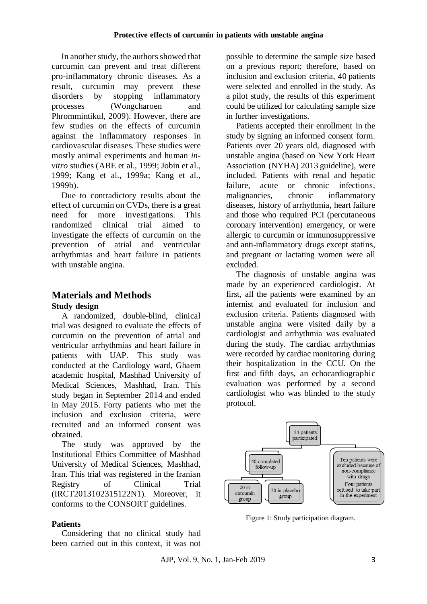In another study, the authors showed that curcumin can prevent and treat different pro-inflammatory chronic diseases. As a result, curcumin may prevent these disorders by stopping inflammatory processes [\(Wongcharoen and](#page-8-6)  [Phrommintikul, 2009\)](#page-8-6). However, there are few studies on the effects of curcumin against the inflammatory responses in cardiovascular diseases. These studies were mostly animal experiments and human *invitro* studies [\(ABE et al., 1999;](#page-6-0) [Jobin et al.,](#page-7-12)  [1999;](#page-7-12) [Kang et al., 1999a;](#page-7-13) [Kang et al.,](#page-7-14)  [1999b\)](#page-7-14).

Due to contradictory results about the effect of curcumin on CVDs, there is a great need for more investigations. This randomized clinical trial aimed to investigate the effects of curcumin on the prevention of atrial and ventricular arrhythmias and heart failure in patients with unstable angina.

## **Materials and Methods Study design**

A randomized, double-blind, clinical trial was designed to evaluate the effects of curcumin on the prevention of atrial and ventricular arrhythmias and heart failure in patients with UAP. This study was conducted at the Cardiology ward, Ghaem academic hospital, Mashhad University of Medical Sciences, Mashhad, Iran. This study began in September 2014 and ended in May 2015. Forty patients who met the inclusion and exclusion criteria, were recruited and an informed consent was obtained.

The study was approved by the Institutional Ethics Committee of Mashhad University of Medical Sciences, Mashhad, Iran. This trial was registered in the Iranian Registry of Clinical Trial (IRCT2013102315122N1). Moreover, it conforms to the CONSORT guidelines.

## **Patients**

Considering that no clinical study had been carried out in this context, it was not

possible to determine the sample size based on a previous report; therefore, based on inclusion and exclusion criteria, 40 patients were selected and enrolled in the study. As a pilot study, the results of this experiment could be utilized for calculating sample size in further investigations.

Patients accepted their enrollment in the study by signing an informed consent form. Patients over 20 years old, diagnosed with unstable angina (based on [New York Heart](http://www.google.no/url?sa=t&rct=j&q=&esrc=s&source=web&cd=6&cad=rja&uact=8&ved=0ahUKEwip45yVosPOAhWCIMAKHZSjCfQQFghKMAU&url=http%3A%2F%2Fwww.heartonline.org.au%2Fmedia%2FDRL%2FNew_York_Heart_Association_(NYHA)_classification.pdf&usg=AFQjCNF0_5s0LvyomfsSNTq9_al4XONsVQ)  [Association \(NYHA\)](http://www.google.no/url?sa=t&rct=j&q=&esrc=s&source=web&cd=6&cad=rja&uact=8&ved=0ahUKEwip45yVosPOAhWCIMAKHZSjCfQQFghKMAU&url=http%3A%2F%2Fwww.heartonline.org.au%2Fmedia%2FDRL%2FNew_York_Heart_Association_(NYHA)_classification.pdf&usg=AFQjCNF0_5s0LvyomfsSNTq9_al4XONsVQ) 2013 guideline), were included. Patients with renal and hepatic failure, acute or chronic infections, malignancies, chronic inflammatory diseases, history of arrhythmia, heart failure and those who required PCI (percutaneous coronary intervention) emergency, or were allergic to curcumin or immunosuppressive and anti-inflammatory drugs except statins, and pregnant or lactating women were all excluded.

The diagnosis of unstable angina was made by an experienced cardiologist. At first, all the patients were examined by an internist and evaluated for inclusion and exclusion criteria. Patients diagnosed with unstable angina were visited daily by a cardiologist and arrhythmia was evaluated during the study. The cardiac arrhythmias were recorded by cardiac monitoring during their hospitalization in the CCU. On the first and fifth days, an echocardiographic evaluation was performed by a second cardiologist who was blinded to the study protocol.



Figure 1: Study participation diagram.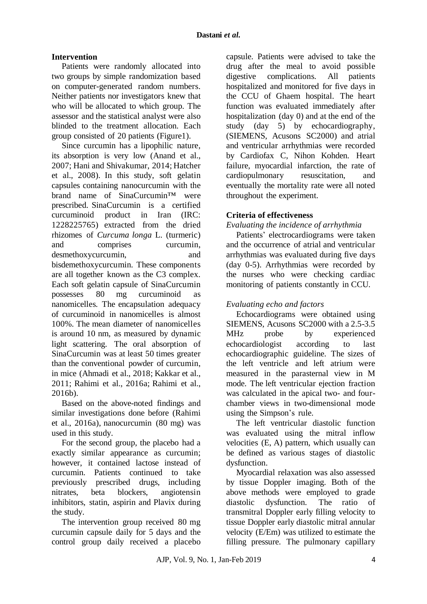### **Intervention**

Patients were randomly allocated into two groups by simple randomization based on computer-generated random numbers. Neither patients nor investigators knew that who will be allocated to which group. The assessor and the statistical analyst were also blinded to the treatment allocation. Each group consisted of 20 patients (Figure1).

Since curcumin has a lipophilic nature, its absorption is very low [\(Anand et al.,](#page-7-4)  [2007;](#page-7-4) [Hani and Shivakumar, 2014;](#page-7-15) [Hatcher](#page-7-3)  [et al., 2008\)](#page-7-3). In this study, soft gelatin capsules containing nanocurcumin with the brand name of SinaCurcumin™ were prescribed. SinaCurcumin is a certified curcuminoid product in Iran (IRC: 1228225765) extracted from the dried rhizomes of *Curcuma longa* L. (turmeric) and comprises curcumin, desmethoxycurcumin, and bisdemethoxycurcumin. These components are all together known as the C3 complex. Each soft gelatin capsule of SinaCurcumin possesses 80 mg curcuminoid as nanomicelles. The encapsulation adequacy of curcuminoid in nanomicelles is almost 100%. The mean diameter of nanomicelles is around 10 nm, as measured by dynamic light scattering. The oral absorption of SinaCurcumin was at least 50 times greater than the conventional powder of curcumin, in mice [\(Ahmadi et al., 2018;](#page-6-1) [Kakkar et al.,](#page-7-16)  [2011;](#page-7-16) [Rahimi et al., 2016a;](#page-8-9) [Rahimi et al.,](#page-8-10)  [2016b\)](#page-8-10).

Based on the above-noted findings and similar investigations done before (Rahimi et al., 2016a), nanocurcumin (80 mg) was used in this study.

For the second group, the placebo had a exactly similar appearance as curcumin; however, it contained lactose instead of curcumin. Patients continued to take previously prescribed drugs, including nitrates, beta blockers, angiotensin inhibitors, statin, aspirin and Plavix during the study.

The intervention group received 80 mg curcumin capsule daily for 5 days and the control group daily received a placebo

capsule. Patients were advised to take the drug after the meal to avoid possible digestive complications. All patients hospitalized and monitored for five days in the CCU of Ghaem hospital. The heart function was evaluated immediately after hospitalization (day 0) and at the end of the study (day 5) by echocardiography, (SIEMENS, Acusons SC2000) and atrial and ventricular arrhythmias were recorded by Cardiofax C, Nihon Kohden. Heart failure, myocardial infarction, the rate of cardiopulmonary resuscitation, and eventually the mortality rate were all noted throughout the experiment.

## **Criteria of effectiveness**

*Evaluating the incidence of arrhythmia*

Patients' electrocardiograms were taken and the occurrence of atrial and ventricular arrhythmias was evaluated during five days (day 0-5). Arrhythmias were recorded by the nurses who were checking cardiac monitoring of patients constantly in CCU.

### *Evaluating echo and factors*

Echocardiograms were obtained using SIEMENS, Acusons SC2000 with a 2.5-3.5 MHz probe by experienced echocardiologist according to last echocardiographic guideline. The sizes of the left ventricle and left atrium were measured in the parasternal view in M mode. The left ventricular ejection fraction was calculated in the apical two- and fourchamber views in two-dimensional mode using the Simpson's rule.

The left ventricular diastolic function was evaluated using the mitral inflow velocities (E, A) pattern, which usually can be defined as various stages of diastolic dysfunction.

Myocardial relaxation was also assessed by tissue Doppler imaging. Both of the above methods were employed to grade diastolic dysfunction. The ratio of transmitral Doppler early filling velocity to tissue Doppler early diastolic mitral annular velocity (E/Em) was utilized to estimate the filling pressure. The pulmonary capillary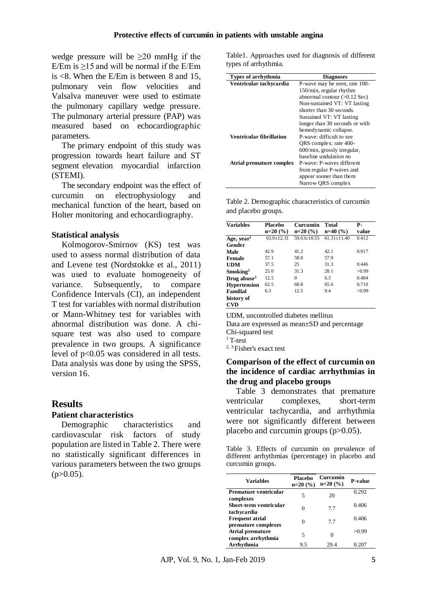wedge pressure will be  $\geq 20$  mmHg if the E/Em is ≥15 and will be normal if the E/Em is  $\lt 8$ . When the E/Em is between 8 and 15, pulmonary vein flow velocities and Valsalva maneuver were used to estimate the pulmonary capillary wedge pressure. The pulmonary arterial pressure (PAP) was measured based on echocardiographic parameters.

The primary endpoint of this study was progression towards heart failure and ST segment elevation myocardial infarction (STEMI)*.*

The secondary endpoint was the effect of curcumin on electrophysiology and mechanical function of the heart, based on Holter monitoring and echocardiography.

### **Statistical analysis**

Kolmogorov-Smirnov (KS) test was used to assess normal distribution of data and Levene test [\(Nordstokke et al., 2011\)](#page-8-11) was used to evaluate homogeneity of variance. Subsequently, to compare Confidence Intervals (CI), an independent T test for variables with normal distribution or Mann-Whitney test for variables with abnormal distribution was done. A chisquare test was also used to compare prevalence in two groups. A significance level of p<0.05 was considered in all tests. Data analysis was done by using the SPSS, version 16.

### **Results**

#### **Patient characteristics**

Demographic characteristics and cardiovascular risk factors of study population are listed in Table 2. There were no statistically significant differences in various parameters between the two groups  $(p>0.05)$ .

Table1. Approaches used for diagnosis of different types of arrhythmia.

| Types of arrhythmia             | <b>Diagnoses</b>               |
|---------------------------------|--------------------------------|
| Ventricular tachycardia         | P-wave may be seen, rate 100-  |
|                                 | 150/min, regular rhythm        |
|                                 | abnormal contour $(>0.12$ Sec) |
|                                 | Non-sustained VT: VT lasting   |
|                                 | shorter than 30 seconds.       |
|                                 | Sustained VT: VT lasting       |
|                                 | longer than 30 seconds or with |
|                                 | hemodynamic collapse.          |
| <b>Ventricular fibrillation</b> | P-wave: difficult to see       |
|                                 | QRS complex: rate 400-         |
|                                 | 600/min, grossly irregular,    |
|                                 | baseline undulation no         |
| Atrial premature complex        | P-wave: P-waves different      |
|                                 | from regular P-waves and       |
|                                 | appear sooner than them        |
|                                 | Narrow QRS complex             |

|                     | Table 2. Demographic characteristics of curcumin |  |
|---------------------|--------------------------------------------------|--|
| and placebo groups. |                                                  |  |

| <b>Variables</b>        | Placebo        | Curcumin        | Total           | Р.    |
|-------------------------|----------------|-----------------|-----------------|-------|
|                         | $n=20(%)$      | $n=20(%)$       | $n=40$ (%)      | value |
| Age, year <sup>1</sup>  | $63.0 + 12.31$ | $59.63 + 10.55$ | $61.31 + 11.40$ | 0.412 |
| Gender                  |                |                 |                 |       |
| Male                    | 42.9           | 41.2            | 42.1            | 0.917 |
| <b>Female</b>           | 57.1           | 58.8            | 57.9            |       |
| <b>UDM</b>              | 37.5           | 25              | 31.3            | 0.446 |
| Smoking <sup>2</sup>    | 25.0           | 31.3            | 28.1            | >0.99 |
| Drug abuse <sup>3</sup> | 12.5           | $\Omega$        | 6.3             | 0.484 |
| <b>Hypertension</b>     | 62.5           | 68.8            | 65.6            | 0.710 |
| Familial                | 6.3            | 12.5            | 9.4             | >0.99 |
| history of              |                |                 |                 |       |
| <b>CVD</b>              |                |                 |                 |       |

UDM, uncontrolled diabetes mellitus Data are expressed as mean±SD and percentage Chi-squared test

 $1$  T-test

<sup>2, 3</sup> Fisher's exact test

### **Comparison of the effect of curcumin on the incidence of cardiac arrhythmias in the drug and placebo groups**

Table 3 demonstrates that premature ventricular complexes, short-term ventricular tachycardia, and arrhythmia were not significantly different between placebo and curcumin groups  $(p>0.05)$ .

Table 3. Effects of curcumin on prevalence of different arrhythmias (percentage) in placebo and curcumin groups.

| <b>Variables</b>                              | <b>Placebo</b><br>$n=20(%)$ | Curcumin<br>$n=20(%)$ | <b>P-value</b> |
|-----------------------------------------------|-----------------------------|-----------------------|----------------|
| Premature ventricular<br>complexes            | 5                           | 20                    | 0.292          |
| Short-term ventricular<br>tachycardia         | $\Omega$                    | 7.7                   | 0.406          |
| <b>Frequent atrial</b><br>premature complexes | 0                           | 7.7                   | 0.406          |
| <b>Atrial premature</b><br>complex arrhythmia | 5                           |                       | >0.99          |
| Arrhythmia                                    | 9.5                         | 29.4                  | 0.207          |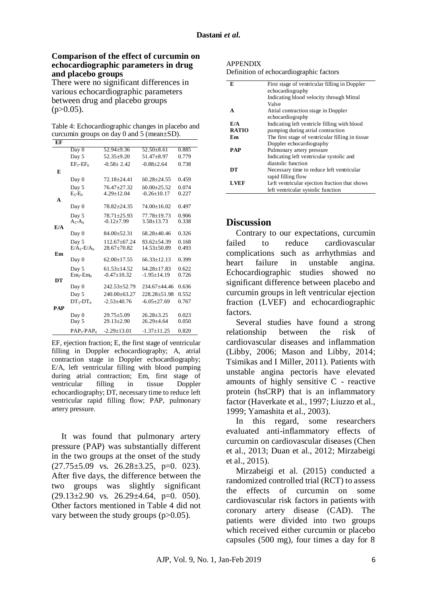### **Comparison of the effect of curcumin on echocardiographic parameters in drug and placebo groups**

There were no significant differences in various echocardiographic parameters between drug and placebo groups  $(p>0.05)$ .

Table 4: Echocardiographic changes in placebo and curcumin groups on day 0 and 5 (mean±SD).

| EF         |                       |                    |                   |       |
|------------|-----------------------|--------------------|-------------------|-------|
|            | Day 0                 | $52.94 \pm 9.36$   | $52.50 \pm 8.61$  | 0.885 |
|            | Day 5                 | $52.35 \pm 9.20$   | $51.47 + 8.97$    | 0.779 |
|            | $EF_{5}$ - $EF_{0}$   | $-0.58 \pm 2.42$   | $-0.88 \pm 2.64$  | 0.738 |
| E          |                       |                    |                   |       |
|            | Day 0                 | $72.18 \pm 24.41$  | $60.28 \pm 24.55$ | 0.459 |
|            | Day 5                 | $76.47 \pm 27.32$  | $60.00 \pm 25.52$ | 0.074 |
|            | $E_5-E_0$             | $4.29 \pm 12.04$   | $-0.26 \pm 10.17$ | 0.227 |
| A          |                       |                    |                   |       |
|            | Day 0                 | 78.82±24.35        | 74.00±16.02       | 0.497 |
|            | Day 5                 | $78.71 \pm 25.93$  | 77.78±19.73       | 0.906 |
|            | $A_{5}$ - $A_0$       | $-0.12 \pm 7.99$   | $3.58 \pm 13.73$  | 0.338 |
| E/A        |                       |                    |                   |       |
|            | Day 0                 | $84.00 \pm 52.31$  | $68.28 + 40.46$   | 0.326 |
|            | Day 5                 | $112.67 + 67.24$   | $83.62 + 54.39$   | 0.168 |
|            | $E/A5$ - $E/A0$       | $28.67 \pm 70.82$  | $14.53 + 50.89$   | 0.493 |
| Em         | Day 0                 | $62.00 \pm 17.55$  | $66.33 + 12.13$   | 0.399 |
|            |                       |                    |                   |       |
|            | Day 5                 | $61.53 \pm 14.52$  | $64.28 + 17.83$   | 0.622 |
| DT         | $Em5-Em0$             | $-0.47 \pm 10.32$  | $-1.95 \pm 14.19$ | 0.726 |
|            | Day 0                 | 242.53±52.79       | $234.67 + 44.46$  | 0.636 |
|            | Day 5                 | $240.00 \pm 63.27$ | 228.28+51.98      | 0.552 |
|            | $DT5-DT0$             | $-2.53 + 40.76$    | $-6.05 \pm 27.69$ | 0.767 |
| <b>PAP</b> |                       |                    |                   |       |
|            | Day 0                 | $29.75 \pm 5.09$   | $26.28 \pm 3.25$  | 0.023 |
|            | Day 5                 | $29.13 \pm 2.90$   | $26.29 \pm 4.64$  | 0.050 |
|            |                       |                    |                   |       |
|            | $PAP_{5}$ - $PAP_{0}$ | $-2.29 \pm 13.01$  | $-1.37 \pm 11.25$ | 0.820 |

EF, ejection fraction; E, the first stage of ventricular filling in Doppler echocardiography; A, atrial contraction stage in Doppler echocardiography; E/A, left ventricular filling with blood pumping during atrial contraction; Em, first stage of ventricular filling in tissue Doppler echocardiography; DT, necessary time to reduce left ventricular rapid filling flow; PAP, pulmonary artery pressure.

It was found that pulmonary artery pressure (PAP) was substantially different in the two groups at the onset of the study  $(27.75\pm5.09 \text{ vs. } 26.28\pm3.25, \text{ p=0. } 023).$ After five days, the difference between the two groups was slightly significant  $(29.13\pm2.90 \text{ vs. } 26.29\pm4.64, \text{ p=0. } 050).$ Other factors mentioned in Table 4 did not vary between the study groups (p>0.05).

#### APPENDIX

Definition of echocardiographic factors

| E            | First stage of ventricular filling in Doppler     |
|--------------|---------------------------------------------------|
|              | echocardiography                                  |
|              | Indicating blood velocity through Mitral          |
|              | Valve                                             |
| A            | Atrial contraction stage in Doppler               |
|              | echocardiography                                  |
| E/A          | Indicating left ventricle filling with blood      |
| <b>RATIO</b> | pumping during atrial contraction                 |
| Em           | The first stage of ventricular filling in tissue. |
|              | Doppler echocardiography                          |
| <b>PAP</b>   | Pulmonary artery pressure                         |
|              | Indicating left ventricular systolic and          |
|              | diastolic function                                |
| DТ           | Necessary time to reduce left ventricular         |
|              | rapid filling flow                                |
| LVEF         | Left ventricular ejection fraction that shows     |
|              | left ventricular systolic function                |

### **Discussion**

Contrary to our expectations, curcumin failed to reduce cardiovascular complications such as arrhythmias and heart failure in unstable angina. Echocardiographic studies showed no significant difference between placebo and curcumin groups in left ventricular ejection fraction (LVEF) and echocardiographic factors.

Several studies have found a strong relationship between the risk of cardiovascular diseases and inflammation [\(Libby, 2006;](#page-7-9) [Mason and Libby, 2014;](#page-7-10) [Tsimikas and I Miller, 2011\)](#page-8-8). Patients with unstable angina pectoris have elevated amounts of highly sensitive C - reactive protein (hsCRP) that is an inflammatory factor [\(Haverkate et al., 1997;](#page-7-17) [Liuzzo et al.,](#page-7-18)  [1999;](#page-7-18) [Yamashita et al., 2003\)](#page-8-12).

In this regard, some researchers evaluated anti-inflammatory effects of curcumin on cardiovascular diseases [\(Chen](#page-7-19)  [et al., 2013;](#page-7-19) [Duan et al., 2012;](#page-7-20) [Mirzabeigi](#page-7-8)  [et al., 2015\)](#page-7-8).

Mirzabeigi et al. (2015) conducted a randomized controlled trial (RCT) to assess the effects of curcumin on some cardiovascular risk factors in patients with coronary artery disease (CAD). The patients were divided into two groups which received either curcumin or placebo capsules (500 mg), four times a day for 8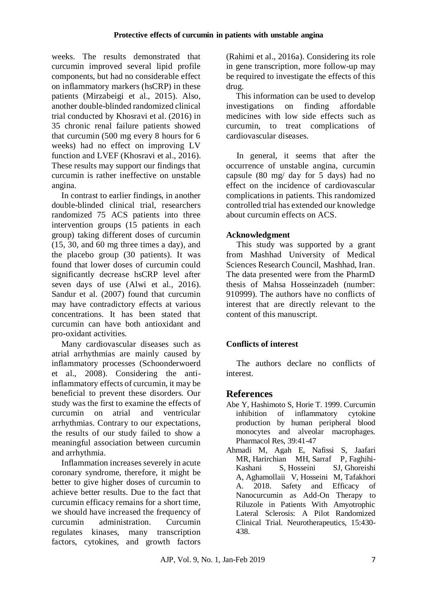weeks. The results demonstrated that curcumin improved several lipid profile components, but had no considerable effect on inflammatory markers (hsCRP) in these patients [\(Mirzabeigi et al., 2015\)](#page-7-8). Also, another double-blinded randomized clinical trial conducted by Khosravi et al. (2016) in 35 chronic renal failure patients showed that curcumin (500 mg every 8 hours for 6 weeks) had no effect on improving LV function and LVEF [\(Khosravi et al., 2016\)](#page-7-21). These results may support our findings that curcumin is rather ineffective on unstable angina.

In contrast to earlier findings, in another double-blinded clinical trial, researchers randomized 75 ACS patients into three intervention groups (15 patients in each group) taking different doses of curcumin (15, 30, and 60 mg three times a day), and the placebo group (30 patients). It was found that lower doses of curcumin could significantly decrease hsCRP level after seven days of use [\(Alwi et al., 2016\)](#page-7-11). Sandur et al. (2007) found that curcumin may have contradictory effects at various concentrations. It has been stated that curcumin can have both antioxidant and pro-oxidant activities.

Many cardiovascular diseases such as atrial arrhythmias are mainly caused by inflammatory processes [\(Schoonderwoerd](#page-8-13)  [et al., 2008\)](#page-8-13). Considering the antiinflammatory effects of curcumin, it may be beneficial to prevent these disorders. Our study was the first to examine the effects of curcumin on atrial and ventricular arrhythmias. Contrary to our expectations, the results of our study failed to show a meaningful association between curcumin and arrhythmia.

Inflammation increases severely in acute coronary syndrome, therefore, it might be better to give higher doses of curcumin to achieve better results. Due to the fact that curcumin efficacy remains for a short time, we should have increased the frequency of curcumin administration. Curcumin regulates kinases, many transcription factors, cytokines, and growth factors

(Rahimi et al., 2016a). Considering its role in gene transcription, more follow-up may be required to investigate the effects of this drug.

This information can be used to develop investigations on finding affordable medicines with low side effects such as curcumin, to treat complications of cardiovascular diseases.

In general, it seems that after the occurrence of unstable angina, curcumin capsule (80 mg/ day for 5 days) had no effect on the incidence of cardiovascular complications in patients. This randomized controlled trial has extended our knowledge about curcumin effects on ACS.

## **Acknowledgment**

This study was supported by a grant from Mashhad University of Medical Sciences Research Council, Mashhad, Iran. The data presented were from the PharmD thesis of Mahsa Hosseinzadeh (number: 910999). The authors have no conflicts of interest that are directly relevant to the content of this manuscript.

## **Conflicts of interest**

The authors declare no conflicts of interest.

## **References**

- <span id="page-6-0"></span>Abe Y, Hashimoto S, Horie T. 1999. Curcumin inhibition of inflammatory cytokine production by human peripheral blood monocytes and alveolar macrophages. Pharmacol Res, 39:41-47
- <span id="page-6-1"></span>Ahmadi M, Agah E, Nafissi S, [Jaafari](https://www.ncbi.nlm.nih.gov/pubmed/?term=Jaafari%20MR%5BAuthor%5D&cauthor=true&cauthor_uid=29352425)  [MR,](https://www.ncbi.nlm.nih.gov/pubmed/?term=Jaafari%20MR%5BAuthor%5D&cauthor=true&cauthor_uid=29352425) [Harirchian MH,](https://www.ncbi.nlm.nih.gov/pubmed/?term=Harirchian%20MH%5BAuthor%5D&cauthor=true&cauthor_uid=29352425) [Sarraf P,](https://www.ncbi.nlm.nih.gov/pubmed/?term=Sarraf%20P%5BAuthor%5D&cauthor=true&cauthor_uid=29352425) [Faghihi-](https://www.ncbi.nlm.nih.gov/pubmed/?term=Faghihi-Kashani%20S%5BAuthor%5D&cauthor=true&cauthor_uid=29352425)[Kashani S,](https://www.ncbi.nlm.nih.gov/pubmed/?term=Faghihi-Kashani%20S%5BAuthor%5D&cauthor=true&cauthor_uid=29352425) [Hosseini SJ,](https://www.ncbi.nlm.nih.gov/pubmed/?term=Hosseini%20SJ%5BAuthor%5D&cauthor=true&cauthor_uid=29352425) [Ghoreishi](https://www.ncbi.nlm.nih.gov/pubmed/?term=Ghoreishi%20A%5BAuthor%5D&cauthor=true&cauthor_uid=29352425)  [A,](https://www.ncbi.nlm.nih.gov/pubmed/?term=Ghoreishi%20A%5BAuthor%5D&cauthor=true&cauthor_uid=29352425) [Aghamollaii V,](https://www.ncbi.nlm.nih.gov/pubmed/?term=Aghamollaii%20V%5BAuthor%5D&cauthor=true&cauthor_uid=29352425) [Hosseini M,](https://www.ncbi.nlm.nih.gov/pubmed/?term=Hosseini%20M%5BAuthor%5D&cauthor=true&cauthor_uid=29352425) [Tafakhori](https://www.ncbi.nlm.nih.gov/pubmed/?term=Tafakhori%20A%5BAuthor%5D&cauthor=true&cauthor_uid=29352425)  [A.](https://www.ncbi.nlm.nih.gov/pubmed/?term=Tafakhori%20A%5BAuthor%5D&cauthor=true&cauthor_uid=29352425) 2018. Safety and Efficacy of Nanocurcumin as Add-On Therapy to Riluzole in Patients With Amyotrophic Lateral Sclerosis: A Pilot Randomized Clinical Trial. Neurotherapeutics, 15:430- 438.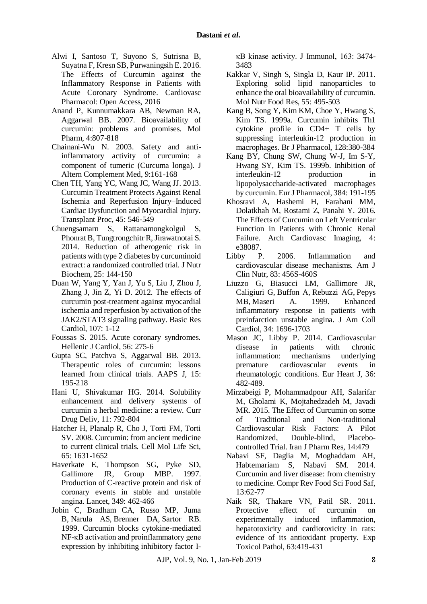- <span id="page-7-11"></span>Alwi I, Santoso T, Suyono S, Sutrisna B, Suyatna F, Kresn SB, Purwaningsih E. 2016. The Effects of Curcumin against the Inflammatory Response in Patients with Acute Coronary Syndrome. Cardiovasc Pharmacol: Open Access, 2016
- <span id="page-7-4"></span>Anand P, Kunnumakkara AB, Newman RA, Aggarwal BB. 2007. Bioavailability of curcumin: problems and promises. Mol Pharm, 4:807-818
- <span id="page-7-5"></span>Chainani-Wu N. 2003. Safety and antiinflammatory activity of curcumin: a component of tumeric (Curcuma longa). J Altern Complement Med, 9:161-168
- <span id="page-7-19"></span>Chen TH, Yang YC, Wang JC, Wang JJ. 2013. Curcumin Treatment Protects Against Renal Ischemia and Reperfusion Injury–Induced Cardiac Dysfunction and Myocardial Injury. Transplant Proc, 45: 546-549
- <span id="page-7-2"></span>Chuengsamarn S, Rattanamongkolgul S, Phonrat B, Tungtrongchitr R, Jirawatnotai S. 2014. Reduction of atherogenic risk in patients with type 2 diabetes by curcuminoid extract: a randomized controlled trial. J Nutr Biochem, 25: 144-150
- <span id="page-7-20"></span>Duan W, Yang Y, Yan J, Yu S, Liu J, Zhou J, Zhang J, Jin Z, Yi D. 2012. The effects of curcumin post-treatment against myocardial ischemia and reperfusion by activation of the JAK2/STAT3 signaling pathway. Basic Res Cardiol, 107: 1-12
- <span id="page-7-1"></span>Foussas S. 2015. Acute coronary syndromes. Hellenic J Cardiol, 56: 275-6
- <span id="page-7-0"></span>Gupta SC, Patchva S, Aggarwal BB. 2013. Therapeutic roles of curcumin: lessons learned from clinical trials. AAPS J, 15: 195-218
- <span id="page-7-15"></span>Hani U, Shivakumar HG. 2014. Solubility enhancement and delivery systems of curcumin a herbal medicine: a review. Curr Drug Deliv, 11: 792-804
- <span id="page-7-3"></span>Hatcher H, Planalp R, Cho J, Torti FM, Torti SV. 2008. Curcumin: from ancient medicine to current clinical trials. Cell Mol Life Sci, 65: 1631-1652
- <span id="page-7-17"></span>Haverkate E, Thompson SG, Pyke SD, Gallimore JR, Group MBP. 1997. Production of C-reactive protein and risk of coronary events in stable and unstable angina. Lancet, 349: 462-466
- <span id="page-7-12"></span>Jobin C, Bradham CA, Russo MP, [Juma](https://www.ncbi.nlm.nih.gov/pubmed/?term=Juma%20B%5BAuthor%5D&cauthor=true&cauthor_uid=10477620)  [B,](https://www.ncbi.nlm.nih.gov/pubmed/?term=Juma%20B%5BAuthor%5D&cauthor=true&cauthor_uid=10477620) [Narula AS,](https://www.ncbi.nlm.nih.gov/pubmed/?term=Narula%20AS%5BAuthor%5D&cauthor=true&cauthor_uid=10477620) [Brenner DA,](https://www.ncbi.nlm.nih.gov/pubmed/?term=Brenner%20DA%5BAuthor%5D&cauthor=true&cauthor_uid=10477620) [Sartor RB.](https://www.ncbi.nlm.nih.gov/pubmed/?term=Sartor%20RB%5BAuthor%5D&cauthor=true&cauthor_uid=10477620) 1999. Curcumin blocks cytokine-mediated NF-κB activation and proinflammatory gene expression by inhibiting inhibitory factor I-

κB kinase activity. J Immunol, 163: 3474- 3483

- <span id="page-7-16"></span>Kakkar V, Singh S, Singla D, Kaur IP. 2011. Exploring solid lipid nanoparticles to enhance the oral bioavailability of curcumin. Mol Nutr Food Res, 55: 495-503
- <span id="page-7-13"></span>Kang B, Song Y, Kim KM, Choe Y, Hwang S, Kim TS. 1999a. Curcumin inhibits Th1 cytokine profile in CD4+ T cells by suppressing interleukin‐12 production in macrophages. Br J Pharmacol, 128:380-384
- <span id="page-7-14"></span>Kang BY, Chung SW, Chung W-J, Im S-Y, Hwang SY, Kim TS. 1999b. Inhibition of<br>interleukin-12 production in interleukin-12 production in lipopolysaccharide-activated macrophages by curcumin. Eur J Pharmacol, 384: 191-195
- <span id="page-7-21"></span>Khosravi A, Hashemi H, Farahani MM, Dolatkhah M, Rostami Z, Panahi Y. 2016. The Effects of Curcumin on Left Ventricular Function in Patients with Chronic Renal Failure. Arch Cardiovasc Imaging, 4: e38087.
- <span id="page-7-9"></span>Libby P. 2006. Inflammation and cardiovascular disease mechanisms. Am J Clin Nutr, 83: 456S-460S
- <span id="page-7-18"></span>Liuzzo G, Biasucci LM, Gallimore JR, [Caligiuri G,](https://www.ncbi.nlm.nih.gov/pubmed/?term=Caligiuri%20G%5BAuthor%5D&cauthor=true&cauthor_uid=10577559) [Buffon A,](https://www.ncbi.nlm.nih.gov/pubmed/?term=Buffon%20A%5BAuthor%5D&cauthor=true&cauthor_uid=10577559) [Rebuzzi AG,](https://www.ncbi.nlm.nih.gov/pubmed/?term=Rebuzzi%20AG%5BAuthor%5D&cauthor=true&cauthor_uid=10577559) [Pepys](https://www.ncbi.nlm.nih.gov/pubmed/?term=Pepys%20MB%5BAuthor%5D&cauthor=true&cauthor_uid=10577559)  [MB,](https://www.ncbi.nlm.nih.gov/pubmed/?term=Pepys%20MB%5BAuthor%5D&cauthor=true&cauthor_uid=10577559) [Maseri A.](https://www.ncbi.nlm.nih.gov/pubmed/?term=Maseri%20A%5BAuthor%5D&cauthor=true&cauthor_uid=10577559) 1999. Enhanced inflammatory response in patients with preinfarction unstable angina. J Am Coll Cardiol, 34: 1696-1703
- <span id="page-7-10"></span>Mason JC, Libby P. 2014. Cardiovascular disease in patients with chronic inflammation: mechanisms underlying premature cardiovascular events in rheumatologic conditions. Eur Heart J, 36: 482-489.
- <span id="page-7-8"></span>Mirzabeigi P, Mohammadpour AH, Salarifar M, Gholami K, Mojtahedzadeh M, Javadi MR. 2015. The Effect of Curcumin on some of Traditional and Non-traditional Cardiovascular Risk Factors: A Pilot Randomized, Double-blind, Placebocontrolled Trial. Iran J Pharm Res, 14:479
- <span id="page-7-6"></span>Nabavi SF, Daglia M, Moghaddam AH, Habtemariam S, Nabavi SM. 2014. Curcumin and liver disease: from chemistry to medicine. Compr Rev Food Sci Food Saf, 13:62-77
- <span id="page-7-7"></span>Naik SR, Thakare VN, Patil SR. 2011. Protective effect of curcumin on experimentally induced inflammation, hepatotoxicity and cardiotoxicity in rats: evidence of its antioxidant property. Exp Toxicol Pathol, 63:419-431

AJP, Vol. 9, No. 1, Jan-Feb 2019 8